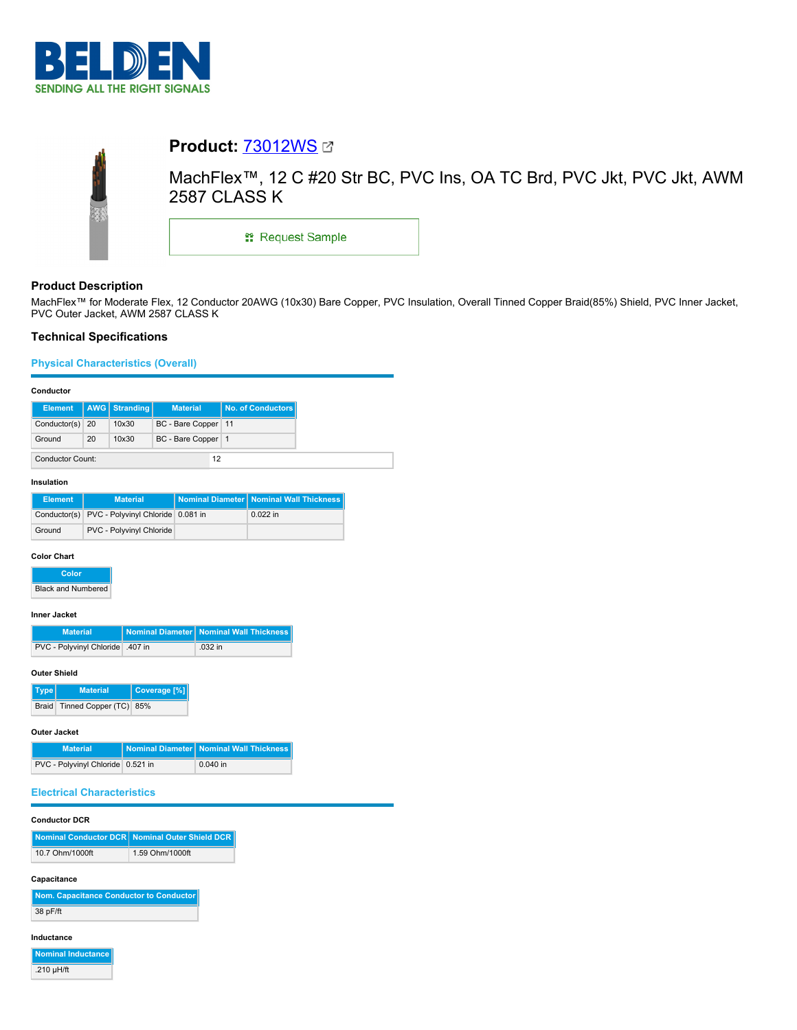

| <b>Product: 73012WS Ø</b>                                                                    |
|----------------------------------------------------------------------------------------------|
| MachFlex™, 12 C #20 Str BC, PVC Ins, OA TC Brd, PVC Jkt, PVC Jkt, AWM<br><b>2587 CLASS K</b> |
| <b>: Request Sample</b>                                                                      |
|                                                                                              |

# **Product Description**

MachFlex™ for Moderate Flex, 12 Conductor 20AWG (10x30) Bare Copper, PVC Insulation, Overall Tinned Copper Braid(85%) Shield, PVC Inner Jacket, PVC Outer Jacket, AWM 2587 CLASS K

## **Technical Specifications**

### **Physical Characteristics (Overall)**

#### **Conductor**

| <b>Element</b>          |    | AWG   Stranding | <b>Material</b>       | <b>No. of Conductors</b> |
|-------------------------|----|-----------------|-----------------------|--------------------------|
| Conductor(s) 20         |    | 10x30           | BC - Bare Copper   11 |                          |
| Ground                  | 20 | 10x30           | BC - Bare Copper   1  |                          |
| <b>Conductor Count:</b> |    |                 | 12                    |                          |

### **Insulation**

| <b>Element</b> | <b>Material</b>                                | Nominal Diameter   Nominal Wall Thickness |
|----------------|------------------------------------------------|-------------------------------------------|
|                | Conductor(s) PVC - Polyvinyl Chloride 0.081 in | $0.022$ in                                |
| Ground         | PVC - Polyvinyl Chloride                       |                                           |

#### **Color Chart**

**Color Black and Numbered** 

### **Inner Jacket**

| <b>Material</b>                 | Nominal Diameter   Nominal Wall Thickness |
|---------------------------------|-------------------------------------------|
| PVC - Polyvinyl Chloride 407 in | $.032$ in                                 |

#### **Outer Shield**

| Type | <b>Material</b>                  | Coverage [%] |
|------|----------------------------------|--------------|
|      | Braid   Tinned Copper (TC)   85% |              |

#### **Outer Jacket**

| <b>Material</b>                   | Nominal Diameter   Nominal Wall Thickness |
|-----------------------------------|-------------------------------------------|
| PVC - Polyvinyl Chloride 0.521 in | $0.040$ in                                |

### **Electrical Characteristics**

#### **Conductor DCR**

|                 | Nominal Conductor DCR Nominal Outer Shield DCR |
|-----------------|------------------------------------------------|
| 10.7 Ohm/1000ft | 1.59 Ohm/1000ft                                |

#### **Capacitance**

| Nom. Capacitance Conductor to Conductor |  |
|-----------------------------------------|--|
| 38 pF/ft                                |  |

#### **Inductance**

**Nominal Inductance**

.210 µH/ft